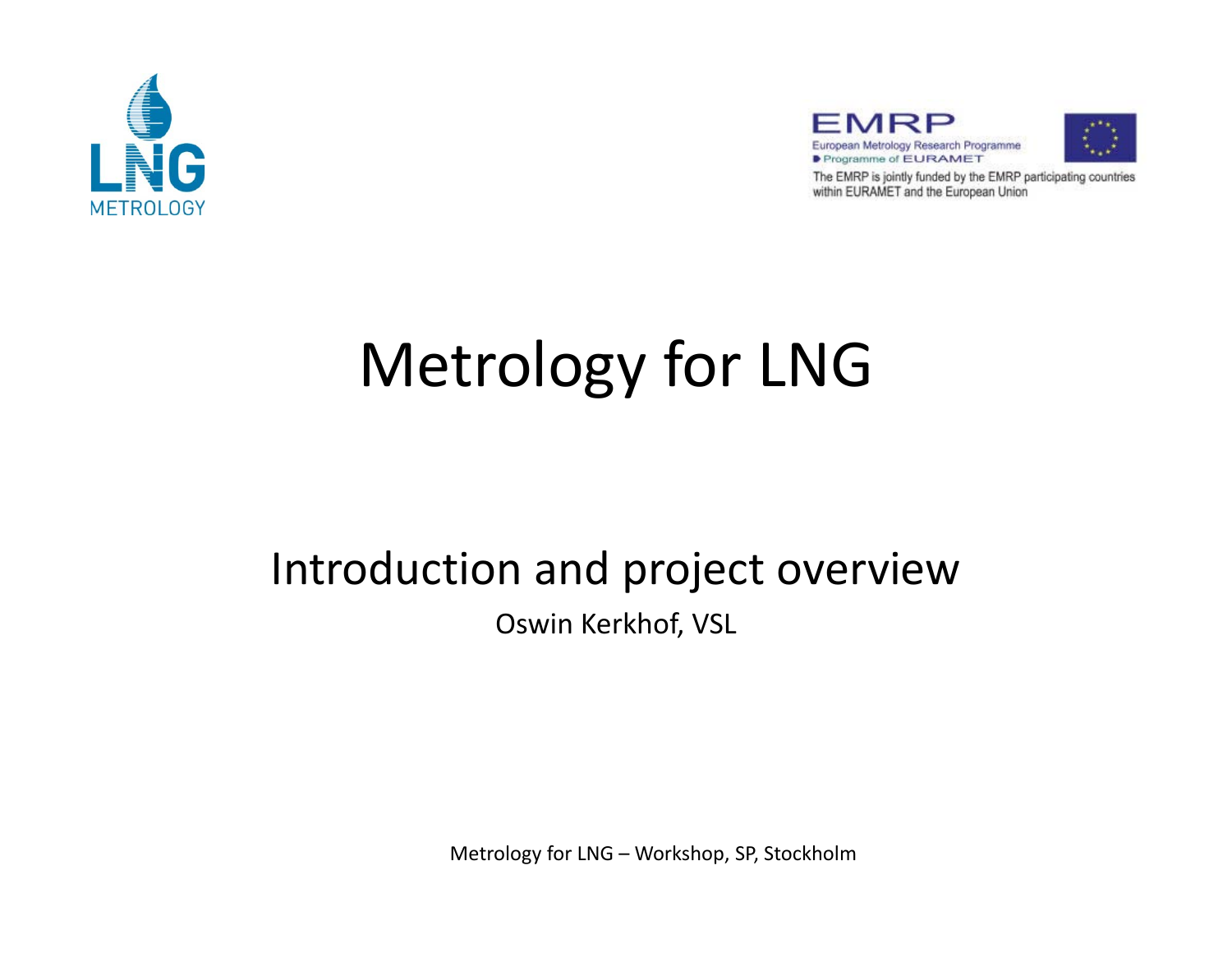





The EMRP is jointly funded by the EMRP participating countries within EURAMET and the European Union

# Metrology for LNG

# Introduction and project overview

Oswin Kerkhof, VSL

Metrology for LNG – Workshop, SP, Stockholm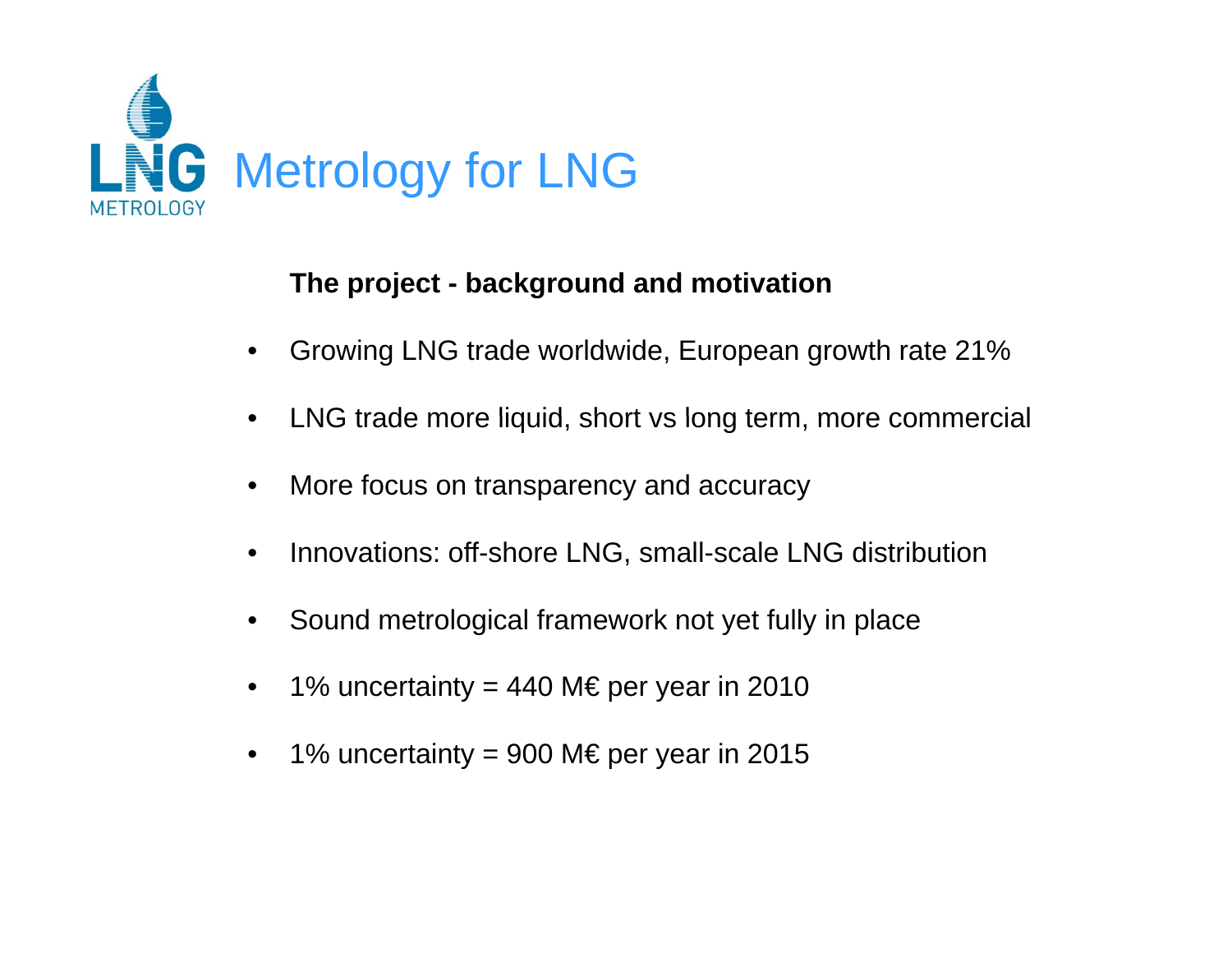

#### **The p j ro ect - back ground and motivation**

- •Growing LNG trade worldwide, European growth rate 21%
- $\bullet$ LNG trade more liquid, short vs long term, more commercial
- •More focus on transparency and accuracy
- •Innovations: off-shore LNG, small-scale LNG distribution
- $\bullet$ Sound metrological framework not yet fully in place
- •1% uncertainty = 440 M€ per year in 2010
- •1% uncertainty = 900 M€ per year in 2015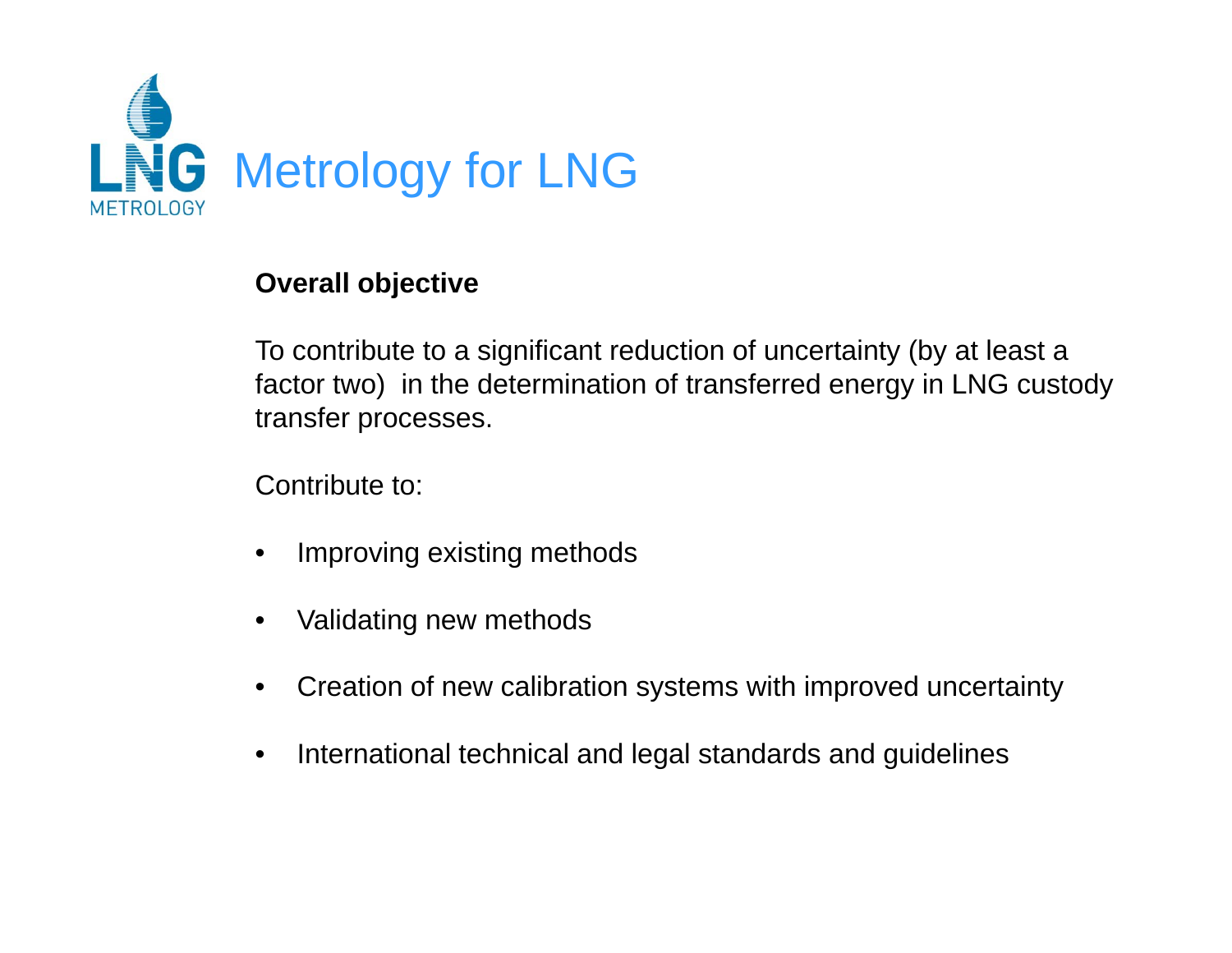

#### **Overall objective j**

To contribute to a significant reduction of uncertainty (by at least a factor two) in the determination of transferred energy in LNG custody transfer processes.

Contribute to:

- •Improving existing methods
- •Validating new methods
- •Creation of new calibration systems with improved uncertainty
- •International technical and legal standards and guidelines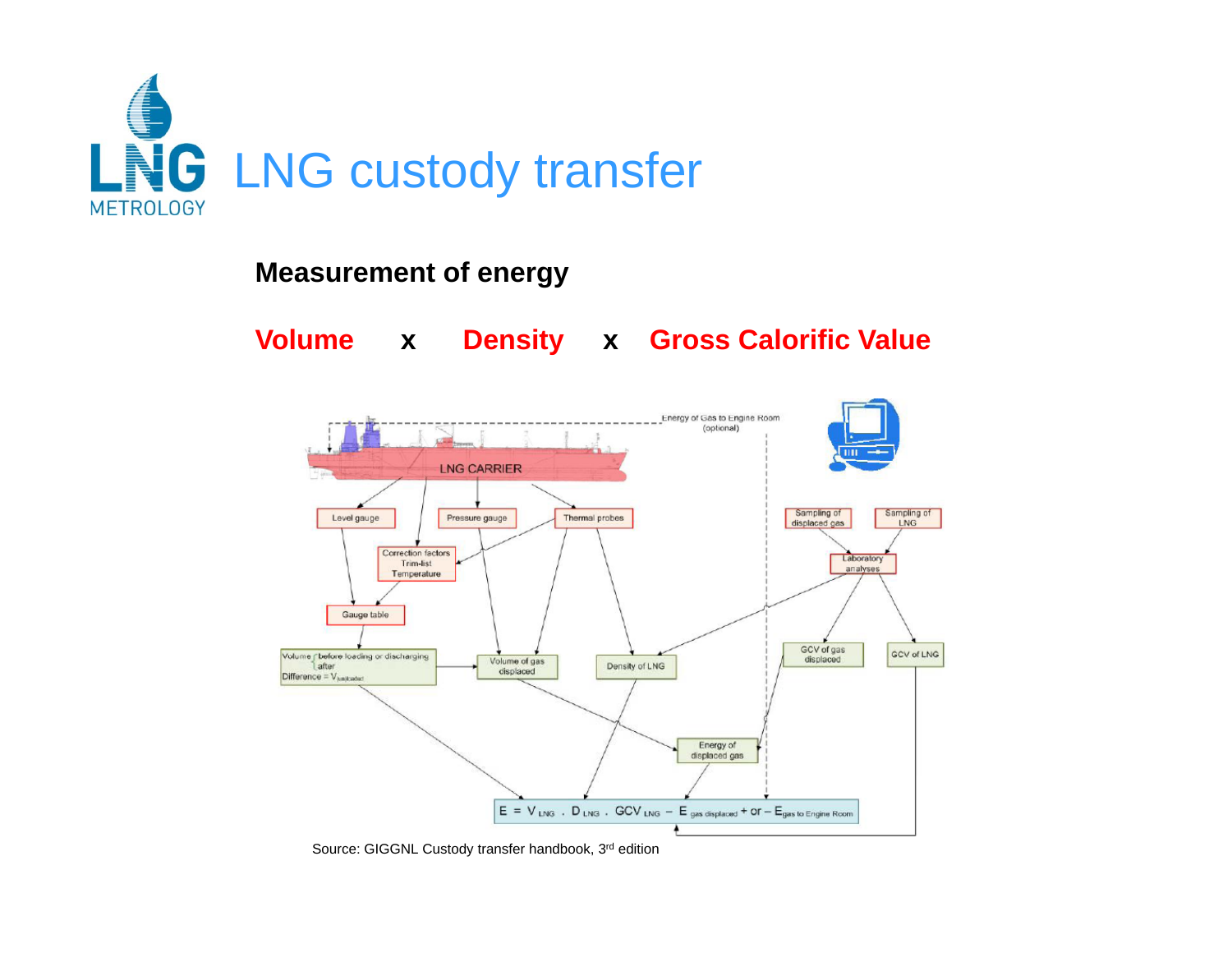

#### **Measurement of energy**

**Volume x Density x Gross Calorific Value**



Source: GIGGNL Custody transfer handbook, 3rd edition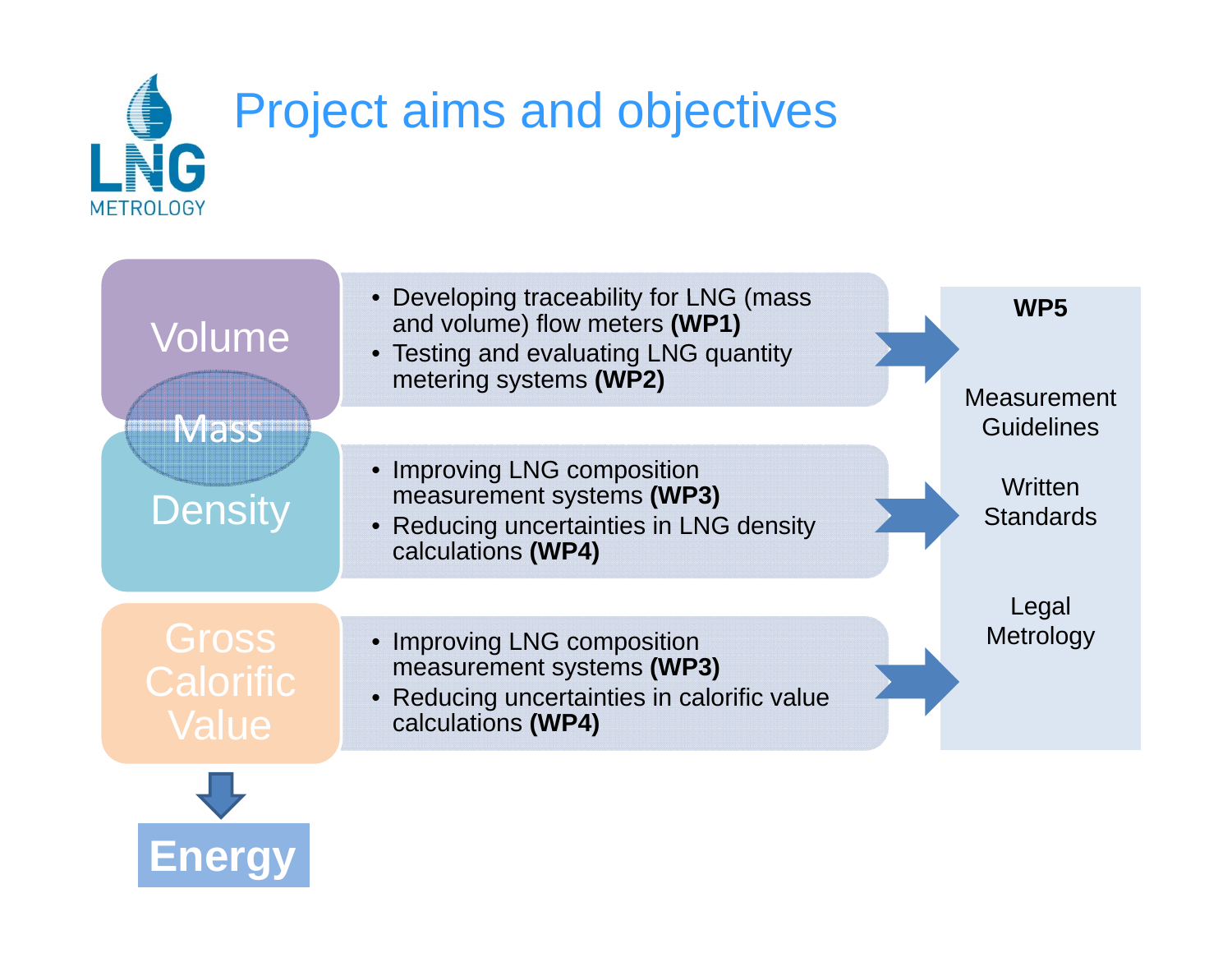

**Energy**

| Volume<br><b>Mass</b>       | • Developing traceability for LNG (mass<br>and volume) flow meters (WP1)<br>• Testing and evaluating LNG quantity<br>metering systems (WP2) | WP <sub>5</sub><br><b>Measurement</b><br><b>Guidelines</b> |
|-----------------------------|---------------------------------------------------------------------------------------------------------------------------------------------|------------------------------------------------------------|
| <b>Density</b>              | • Improving LNG composition<br>measurement systems (WP3)<br>• Reducing uncertainties in LNG density<br>calculations (WP4)                   | Written<br><b>Standards</b>                                |
| Gross<br>Calorific<br>Value | • Improving LNG composition<br>measurement systems (WP3)<br>• Reducing uncertainties in calorific value<br>calculations (WP4)               | Legal<br>Metrology                                         |
|                             |                                                                                                                                             |                                                            |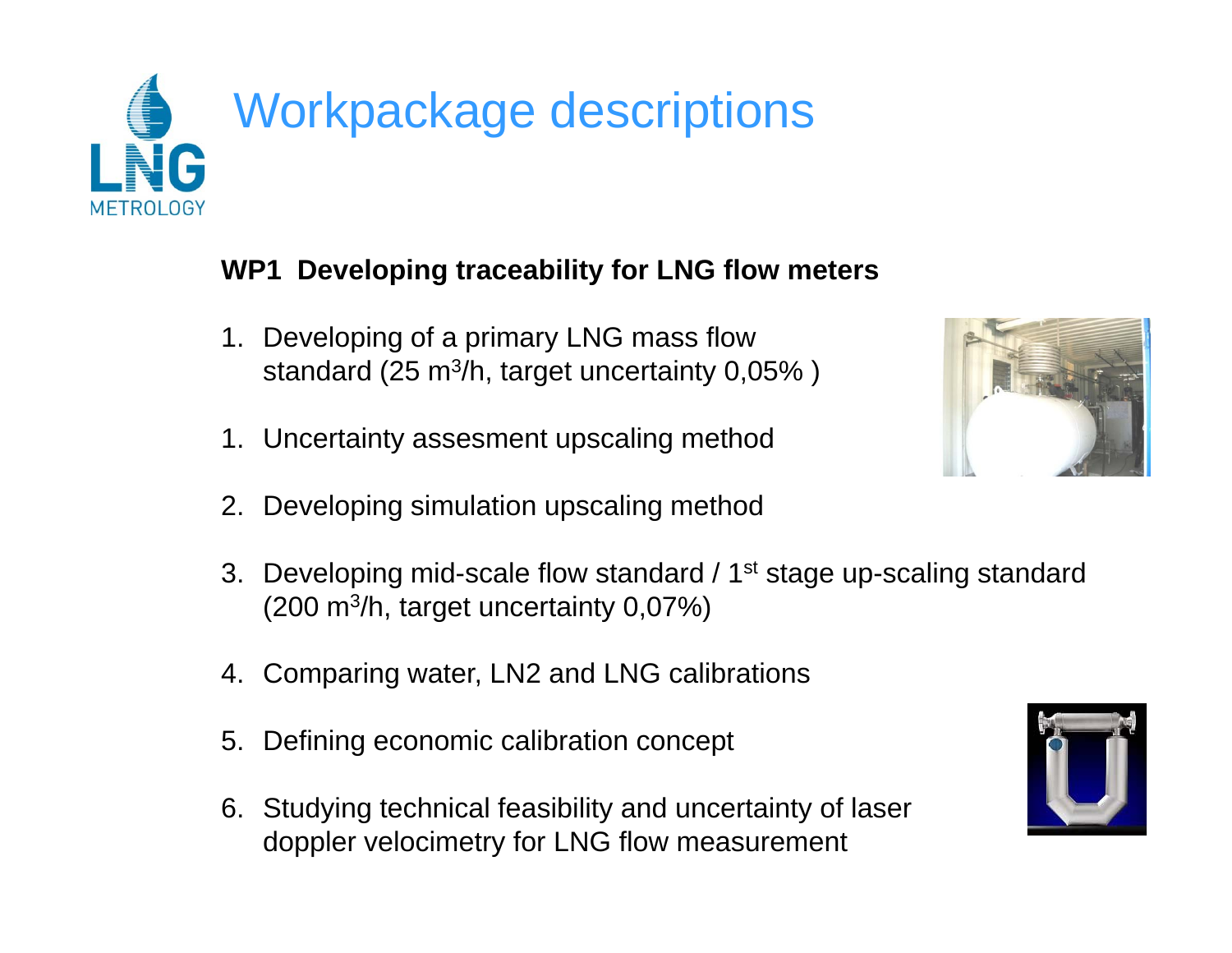

#### **WP1 Developing traceability for LNG flow meters**

- 1. Developing of a primary LNG mass flow standard (25 m<sup>3</sup>/h, target uncertainty 0,05% )
- 1. Uncertainty assesment upscaling method
- 2. Developing simulation upscaling method
- 3. Developing mid-scale flow standard / 1<sup>st</sup> stage up-scaling standard (200 m 3/h, target uncertainty 0,07%)
- 4. Comparing water, LN2 and LNG calibrations
- 5. Defining economic calibration concept
- 6. Studying technical feasibility and uncertainty of laser doppler velocimetry for LNG flow measurement



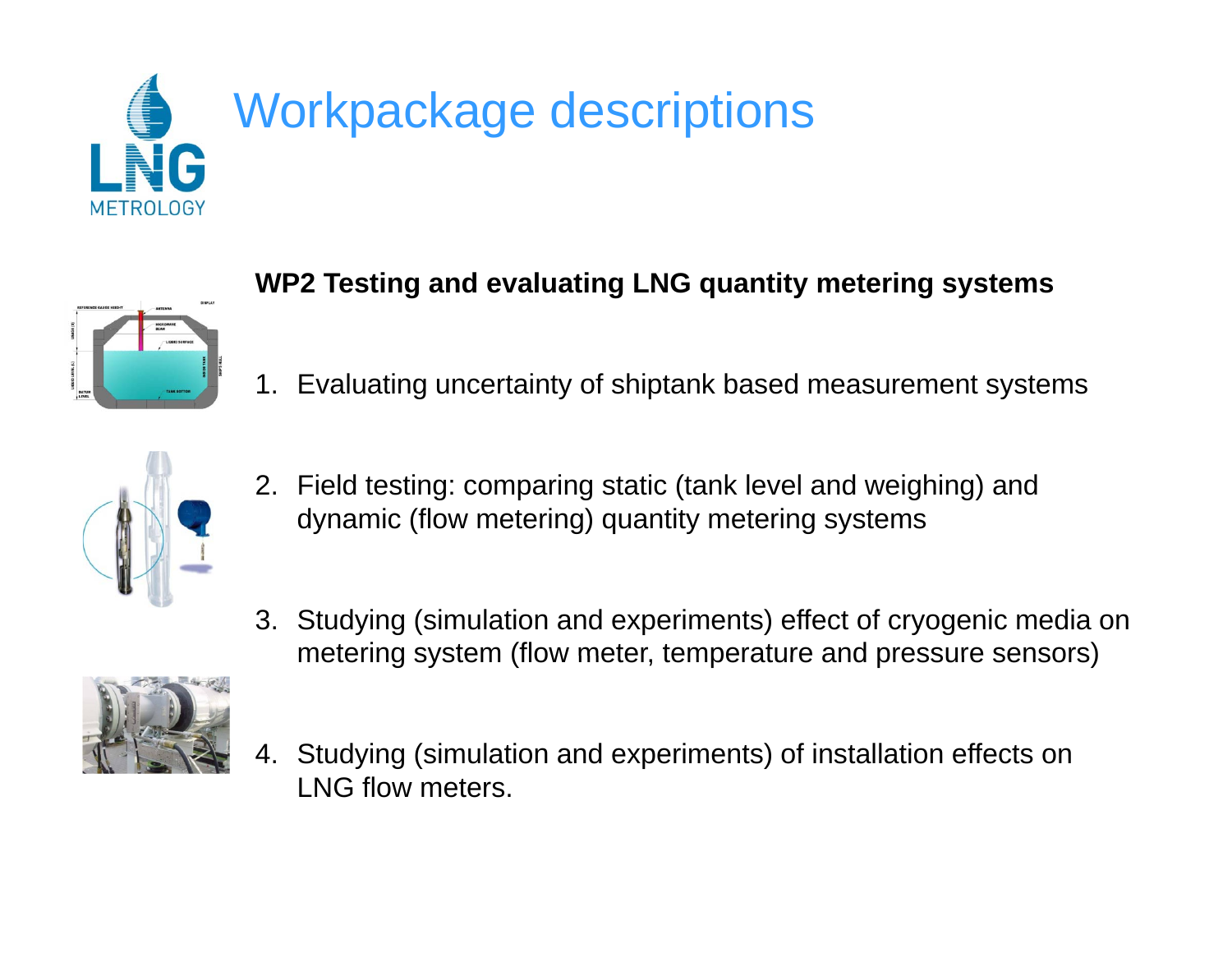



### **WP2 Testin g g q y gy and evaluatin g LNG quantit y meterin g s ystems**

1. Evaluating uncertainty of shiptank based measurement systems



- 2. Field testing: comparing static (tank level and weighing) and dynamic (flow metering) quantity metering systems
- 3. Studying (simulation and experiments) effect of cryogenic media on metering system (flow meter, temperature and pressure sensors)



4. Studying (simulation and experiments) of installation effects on LNG flow meters.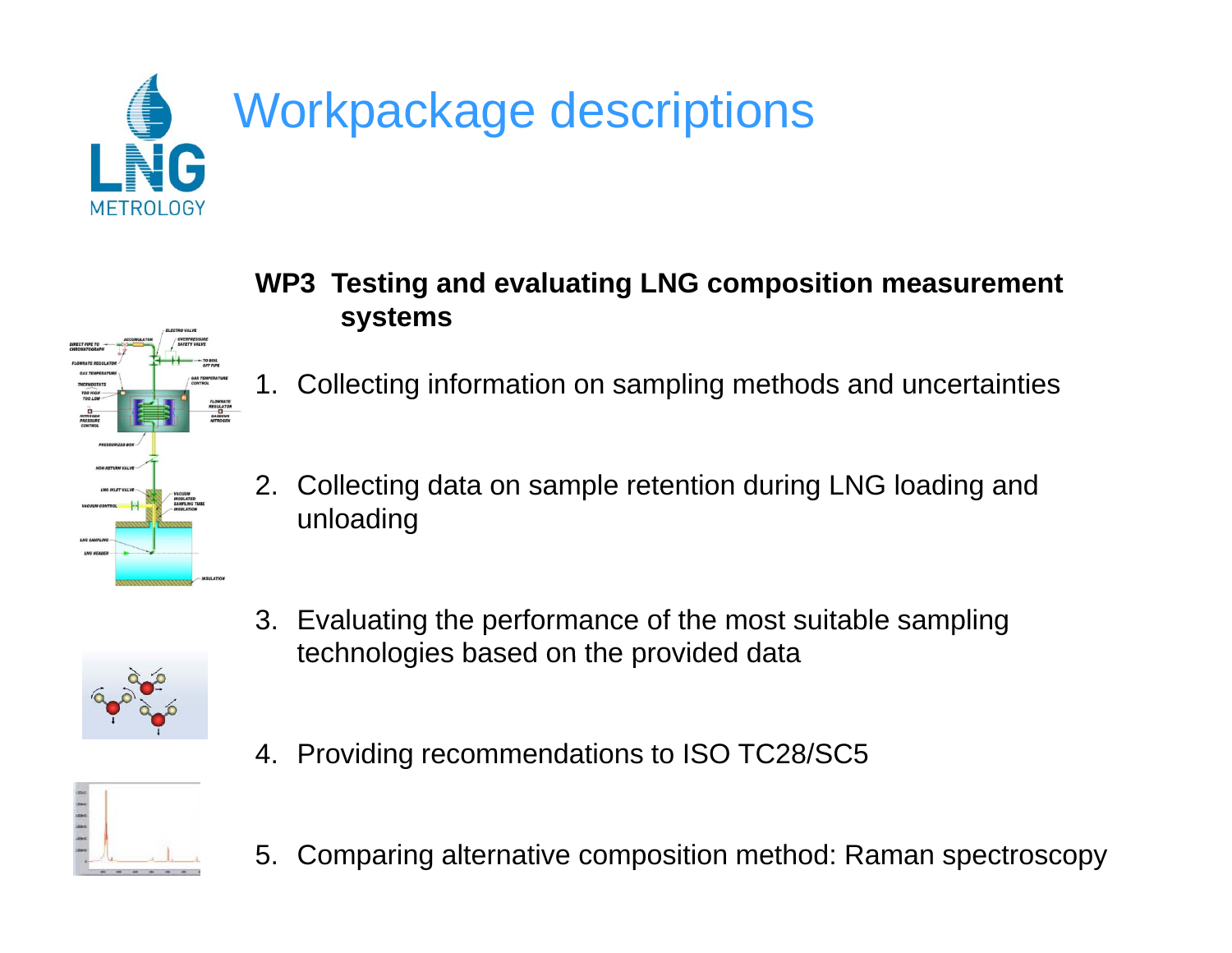



- **WP3 Testin g gp and evaluatin g LNG com position measurement systems**
- 1. Collecting information on sampling methods and uncertainties
- 2. Collecting data on sample retention during LNG loading and unloading
- 3. Evaluating the performance of the most suitable sampling technologies based on the provided data



4. Providing recommendations to ISO TC28/SC5



5. Comparing alternative composition method: Raman spectroscopy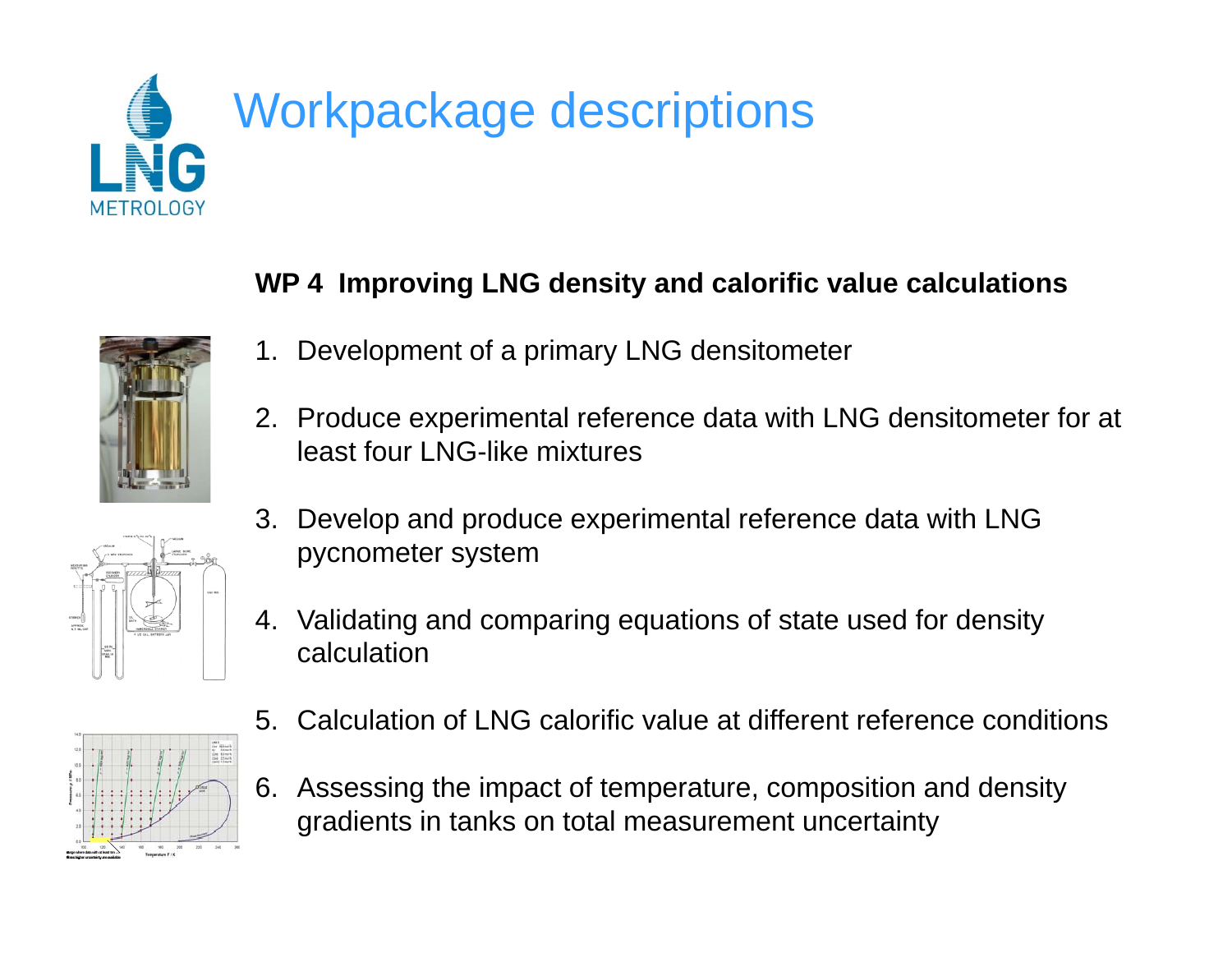



**rangewheredatawith at least ten timeshigheruncertaintyareavailable**

#### **WP 4 Im pg y rovin g LNG densit y and calorific value calculations**

- 1. Development of a primary LNG densitometer
- 2. Produce experimental reference data with LNG densitometer for at least four LNG-like mixtures
- 3. Develop and produce experimental reference data with LNG pycnometer system
- 4. Validating and comparing equations of state used for density calculation
- 5. Calculation of LNG calorific value at different reference conditions
- 6. Assessing the impact of temperature, composition and density gradients in tanks on total measurement uncertainty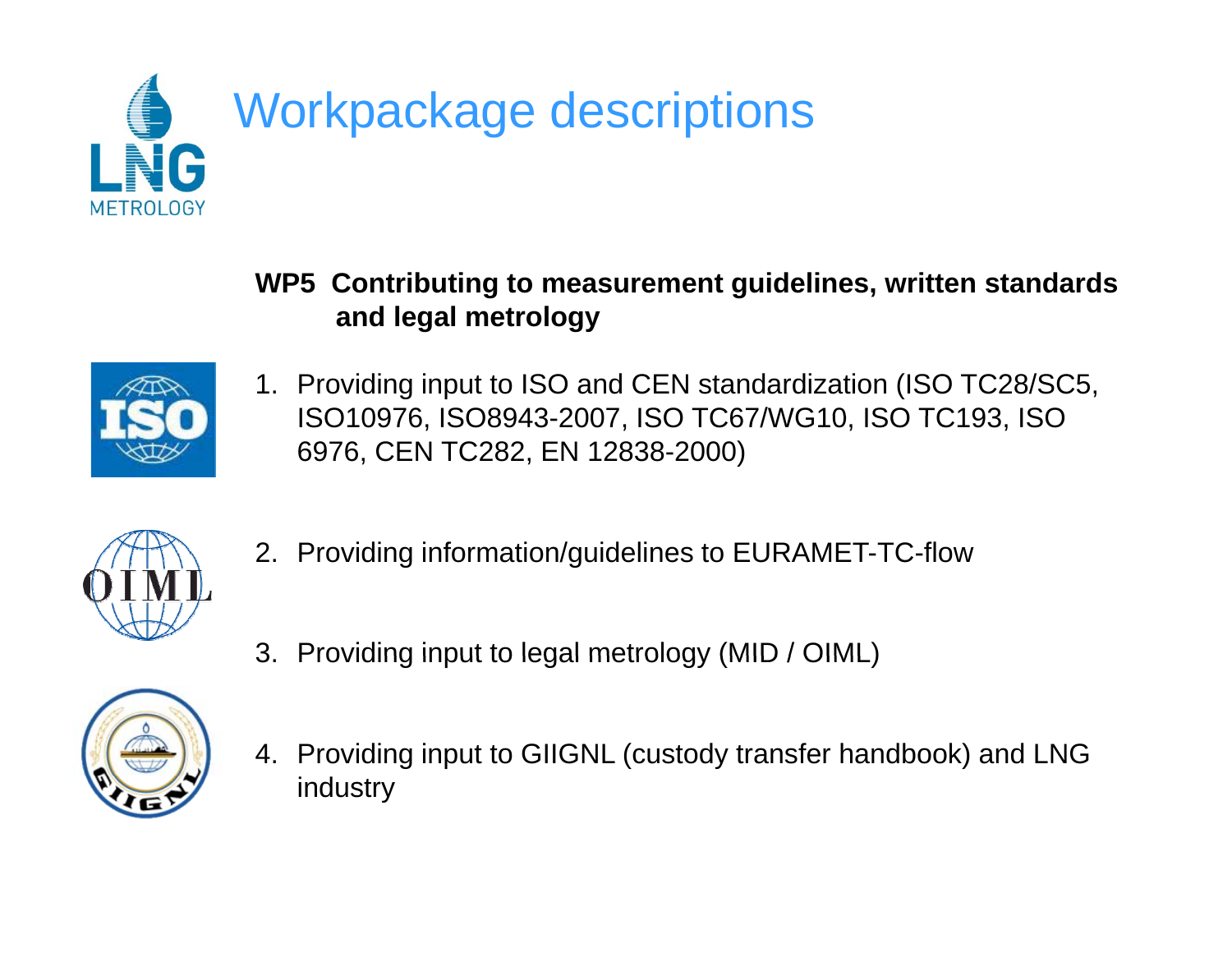

**WP5 Contributin g g, to measurement guidelines, written standards and legal metrology**



1. Providing input to ISO and CEN standardization (ISO TC28/SC5, ISO10976, ISO8943-2007, ISO TC67/WG10, ISO TC193, ISO 6976, CEN TC282, EN 12838-2000)



- 2. Providing information/guidelines to EURAMET-TC-flow
- 3. Providing input to legal metrology (MID / OIML)



4. Providing input to GIIGNL (custody transfer handbook) and LNG industry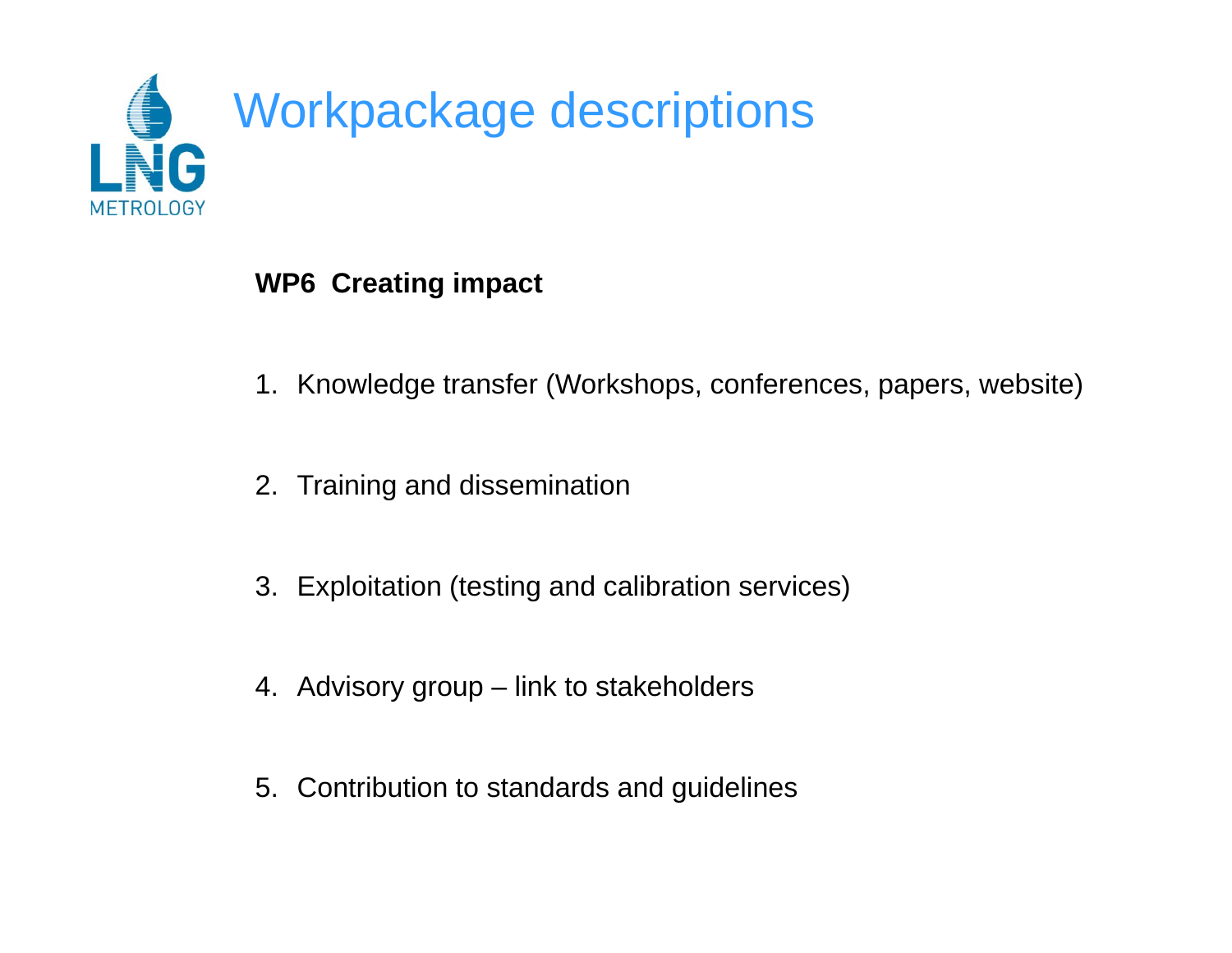

#### **WP6 Creatin g p im pact**

- 1. Knowledge transfer (Workshops, conferences, papers, website)
- 2. Training and dissemination
- 3. Exploitation (testing and calibration services)
- 4. Advisory group link to stakeholders
- 5. Contribution to standards and guidelines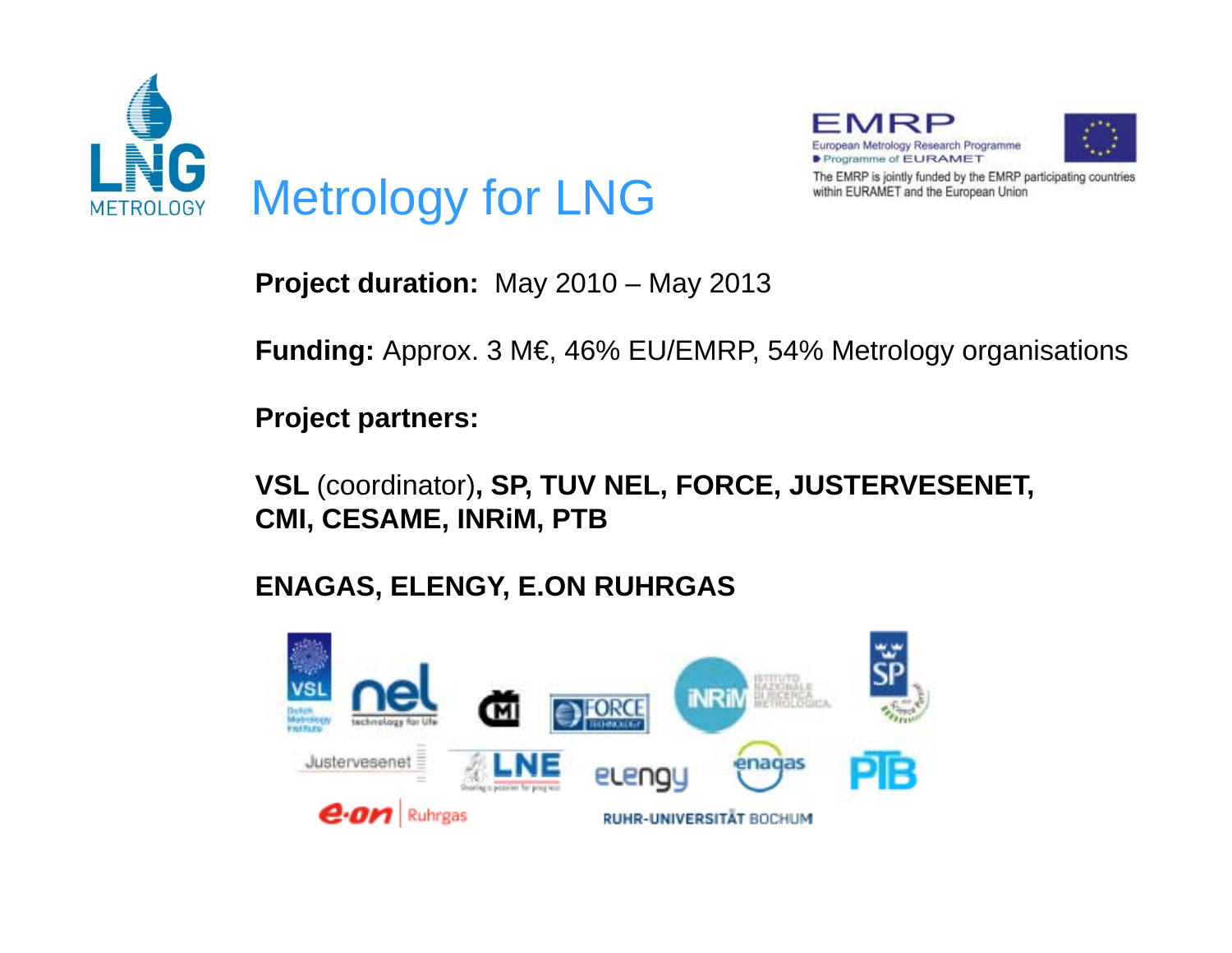



**Project duration:** Ma y 2010 – Ma y 2013

**Funding:** Approx. 3 M€, 46% EU/EMRP, 54% Metrology organisations

**Project partners:**

**VSL** (coordinator)**, SP, TUV NEL, FORCE, JUSTERVESENET, CMI, CESAME, INRiM, PTB**

#### **ENAGAS, ELENGY, E.ON RUHRGAS**

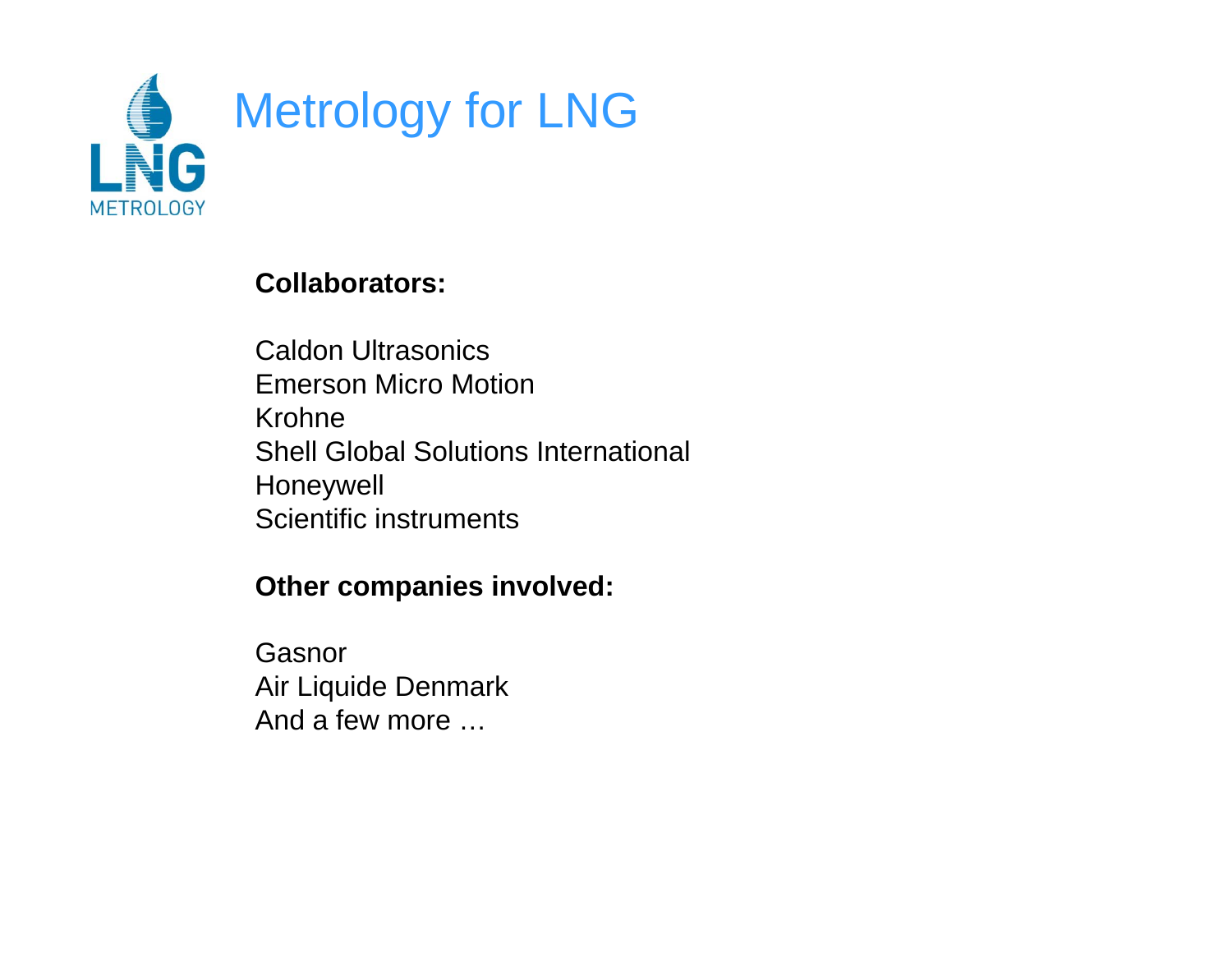

#### **Collaborators:**

Caldon Ultrasonics Emerson Micro MotionKrohneShell Global Solutions International Honeywell Scientific instruments

#### **Other companies involved:**

GasnorAir Liquide Denmark And a few more …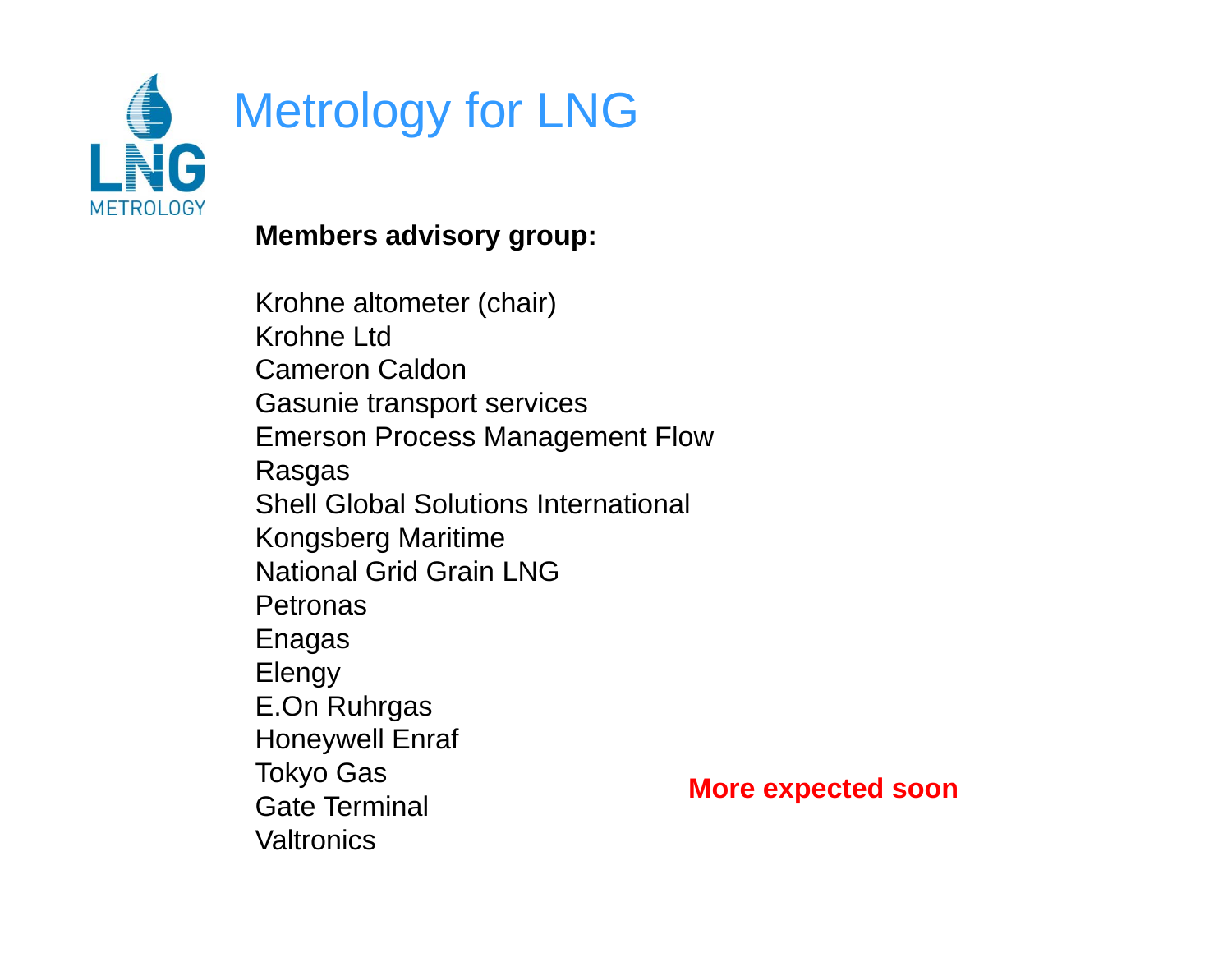

#### **Members advisory group:**

Krohne altometer (chair) Krohne Ltd Cameron CaldonGasunie trans port services Emerson Process Management Flow Rasgas Shell Global Solutions International Kongsberg Maritime National Grid Grain LNG**Petronas** Enagas Elengy E.On Ruhrgas Honeywell Enraf Tokyo Gas Gate Terminal **Valtronics** 

**More expected soon**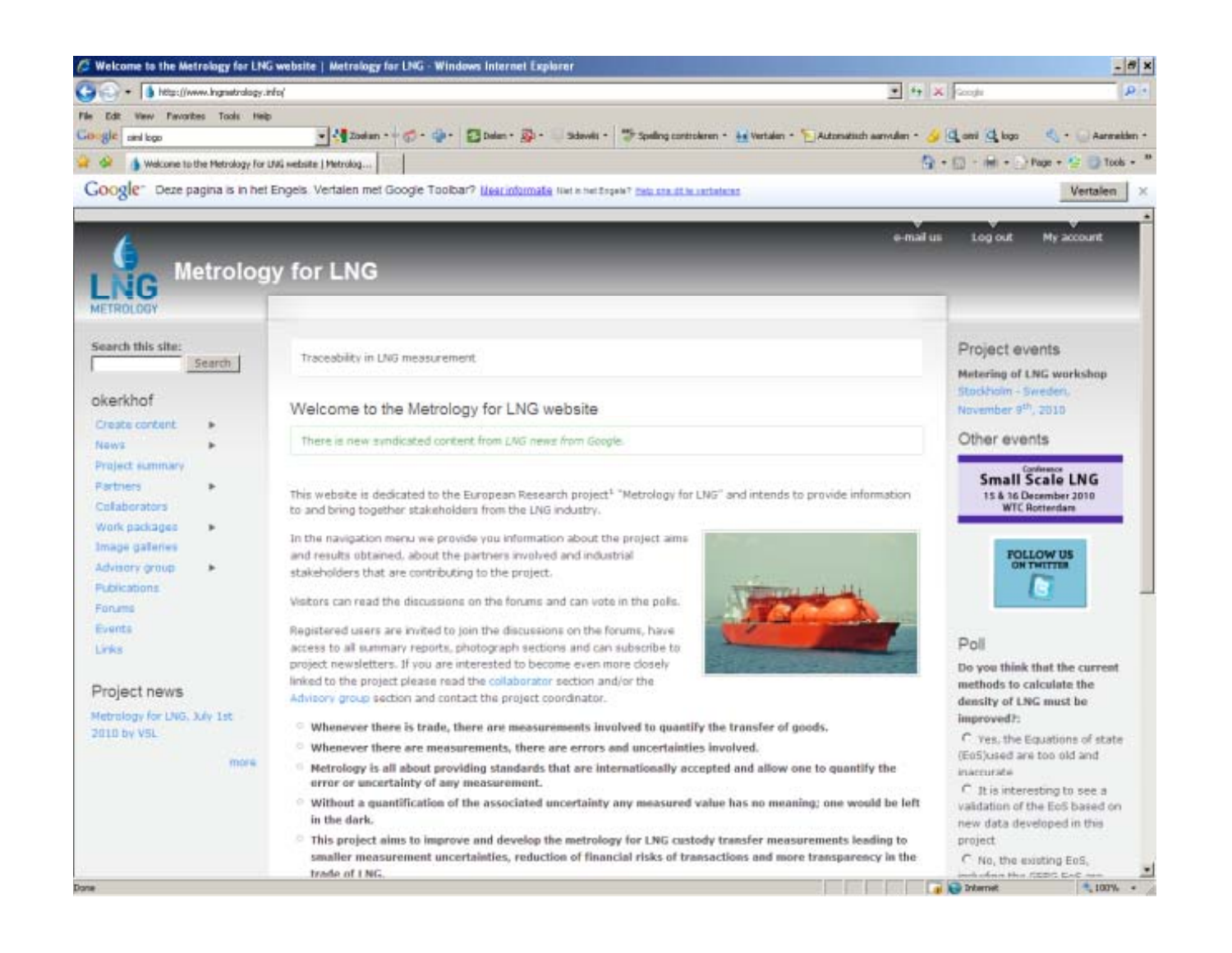| <sup>2</sup> Welcome to the Metrology for LNG website   Metrology for LNG - Windows Internet Explorer                                                                                                        | $ \mathbf{m}$ $\mathbf{x}$                                                                          |
|--------------------------------------------------------------------------------------------------------------------------------------------------------------------------------------------------------------|-----------------------------------------------------------------------------------------------------|
| http://www.ingnatrology.info/                                                                                                                                                                                | + + X code<br>$\mathbf{p}$ .                                                                        |
| Weey Favoribes Tools Help<br>Edit                                                                                                                                                                            |                                                                                                     |
| - 200m - の 中 四mm み<br>Sidewith -<br>Google antique                                                                                                                                                           | "Speling controleren - He Vertalen - "   Automatisch aanvulen - Al   Q ond   Q logo<br>Aarmekleri * |
| Welcome to the Metrology For UW, website   Metrolog                                                                                                                                                          | Q + 同 - 南 + → Page + 全 → Took +                                                                     |
| Google" Deze pagina is in het Engels. Vertalen met Google Toolbar? Illearinformate fire in het het net in an at le retainers                                                                                 | Vertalen                                                                                            |
|                                                                                                                                                                                                              |                                                                                                     |
|                                                                                                                                                                                                              | My account.<br>e-mail us<br><b>Log out</b>                                                          |
|                                                                                                                                                                                                              |                                                                                                     |
| <b>Metrology for LNG</b>                                                                                                                                                                                     |                                                                                                     |
| METROLOGY                                                                                                                                                                                                    |                                                                                                     |
|                                                                                                                                                                                                              |                                                                                                     |
| Search this site:                                                                                                                                                                                            | Project events                                                                                      |
| Traceability in LNG measurement<br>Search                                                                                                                                                                    | Metering of LNG workshop                                                                            |
| okerkhof                                                                                                                                                                                                     | Stockholm - Sweden.                                                                                 |
| Welcome to the Metrology for LNG website                                                                                                                                                                     | November 9th, 2010                                                                                  |
| <b>Create contant</b><br>There is new syndicated content from LNG news from Google.                                                                                                                          | Other events                                                                                        |
| News<br>Project summary.                                                                                                                                                                                     |                                                                                                     |
| <b>Partners</b>                                                                                                                                                                                              | Small Scale LNG                                                                                     |
| This website is dedicated to the European Research project <sup>1</sup> "Metrology for LNG" and intends to provide information<br>Collaborators<br>to and bring together stakeholders from the LNG industry. | 15 & 36 December 2010<br><b>WTC Rottendam</b>                                                       |
| Work packages                                                                                                                                                                                                |                                                                                                     |
| In the navigation menu we provide you information about the project aims<br>Image galleries<br>and results obtained, about the partners involved and industrial                                              | <b>FOLLOW US</b>                                                                                    |
| Advisory group<br>stakeholders that are contributing to the project.                                                                                                                                         | <b>ON THREE</b>                                                                                     |
| <b>Publications</b><br>Visitors can read the discussions on the forums and can vote in the polis.                                                                                                            |                                                                                                     |
| Forume                                                                                                                                                                                                       |                                                                                                     |
| Events<br>Registered users are invited to join the discussions on the forums, have                                                                                                                           | Poli                                                                                                |
| access to all summary reports, photograph sections and can subscribe to<br>Links<br>project newsletters. If you are interested to become even more dosely                                                    | Do you think that the current                                                                       |
| linked to the project please read the collaborator section and/or the                                                                                                                                        | methods to calculate the                                                                            |
| Project news<br>Advisory group section and contact the project coordinator.                                                                                                                                  | density of LNG must be                                                                              |
| Metrology for LNG, July 1st<br><sup>C</sup> Whenever there is trade, there are measurements involved to quantify the transfer of goods.<br>2010 by VSL                                                       | improved?:                                                                                          |
| <sup>1</sup> Whenever there are measurements, there are errors and uncertainties involved.                                                                                                                   | C. Yes, the Equations of state                                                                      |
| more.<br>Metrology is all about providing standards that are internationally accepted and allow one to quantify the                                                                                          | (E05)used and too old and<br>inaccurate.                                                            |
| error or uncertainty of any measurement.                                                                                                                                                                     | $C$ it is interesting to see a                                                                      |
| Without a quantification of the associated uncertainty any measured value has no meaning; one would be left<br>in the dark.                                                                                  | validation of the EoS based on                                                                      |
| This project aims to improve and develop the metrology for LNG custody transfer measurements leading to                                                                                                      | new data developed in this<br>project                                                               |
| smaller measurement uncertainties, reduction of financial risks of transactions and more transparency in the                                                                                                 | C No, the existing EeS.                                                                             |
| trade of LNG.                                                                                                                                                                                                | 획<br>each offered Hyan SXXIS Candians<br><b>D</b> Internet<br>$100%$ $\rightarrow$                  |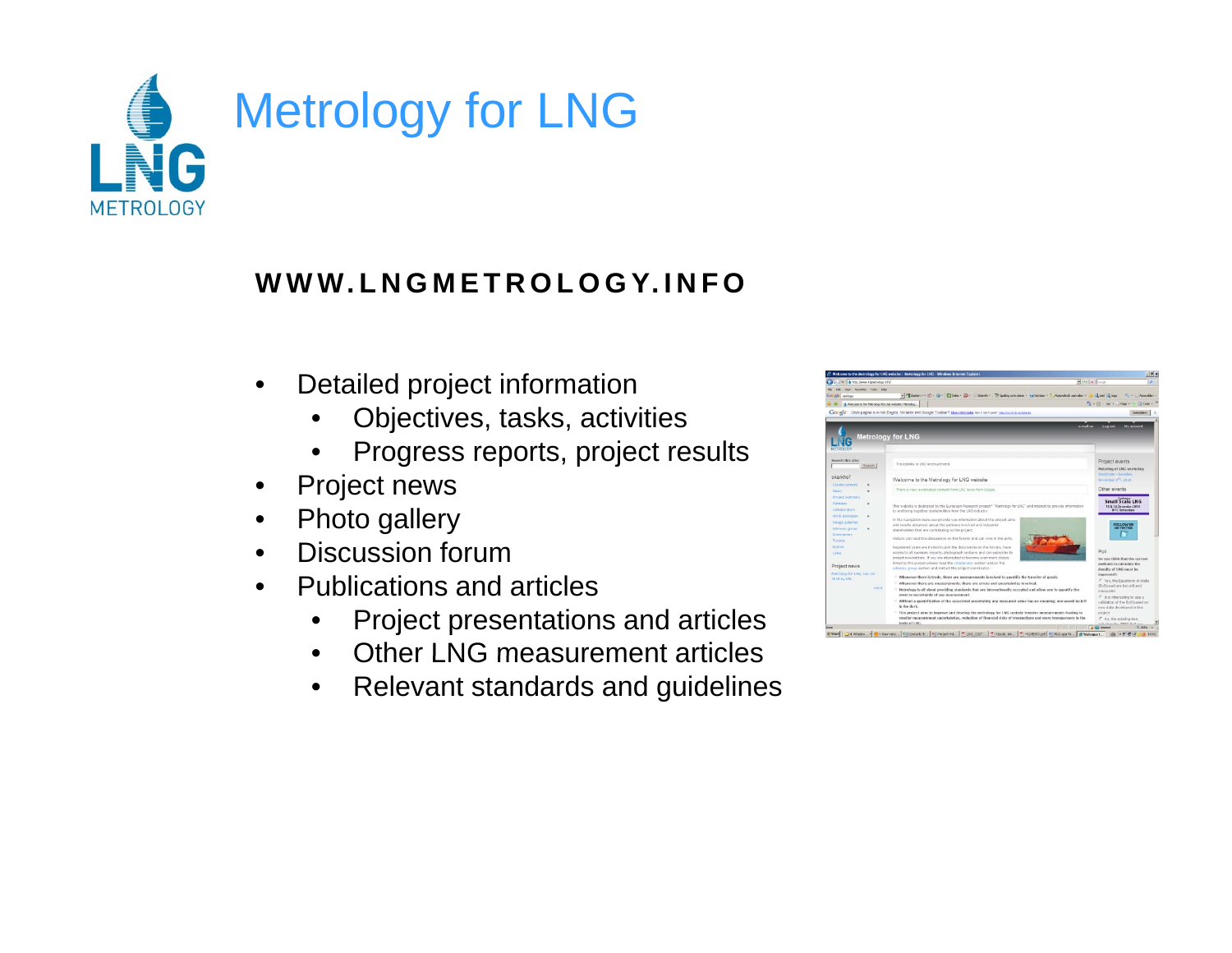

#### **WWW.LNGMETROLOGY.INFO**

- • Detailed project information
	- •Objectives, tasks, activities
	- •Progress reports, project results
- •Project news
- •Photo gallery
- •Discussion forum
- • Publications and articles
	- •Project presentations and articles
	- •Other LNG measurement articles
	- $\bullet$ Relevant standards and guidelines